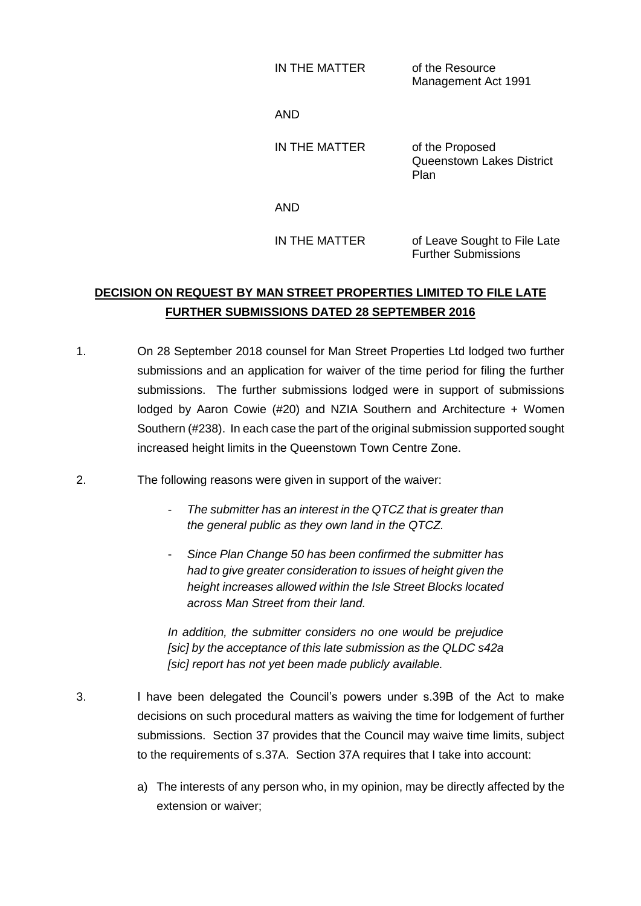IN THE MATTER of the Resource

Management Act 1991

AND

IN THE MATTER of the Proposed Queenstown Lakes District Plan

AND

IN THE MATTER of Leave Sought to File Late Further Submissions

## **DECISION ON REQUEST BY MAN STREET PROPERTIES LIMITED TO FILE LATE FURTHER SUBMISSIONS DATED 28 SEPTEMBER 2016**

- 1. On 28 September 2018 counsel for Man Street Properties Ltd lodged two further submissions and an application for waiver of the time period for filing the further submissions. The further submissions lodged were in support of submissions lodged by Aaron Cowie (#20) and NZIA Southern and Architecture + Women Southern (#238). In each case the part of the original submission supported sought increased height limits in the Queenstown Town Centre Zone.
- 2. The following reasons were given in support of the waiver:
	- *The submitter has an interest in the QTCZ that is greater than the general public as they own land in the QTCZ.*
	- *Since Plan Change 50 has been confirmed the submitter has had to give greater consideration to issues of height given the height increases allowed within the Isle Street Blocks located across Man Street from their land.*

*In addition, the submitter considers no one would be prejudice [sic] by the acceptance of this late submission as the QLDC s42a [sic] report has not yet been made publicly available.*

- 3. I have been delegated the Council's powers under s.39B of the Act to make decisions on such procedural matters as waiving the time for lodgement of further submissions. Section 37 provides that the Council may waive time limits, subject to the requirements of s.37A. Section 37A requires that I take into account:
	- a) The interests of any person who, in my opinion, may be directly affected by the extension or waiver;